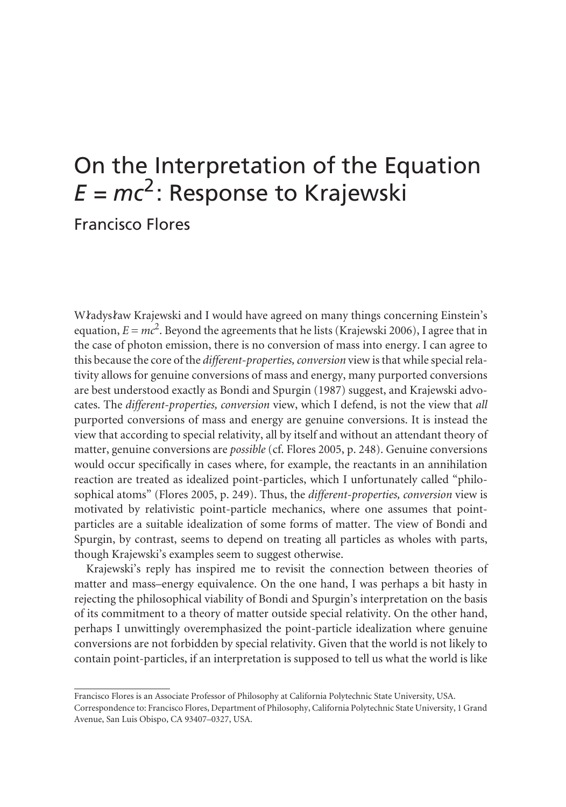## On the Interpretation of the Equation  $E = mc^2$ : Response to Krajewski

Francisco Flores

Władysław Krajewski and I would have agreed on many things concerning Einstein's equation,  $E = mc^2$ . Beyond the agreements that he lists (Krajewski 2006), I agree that in the case of photon emission, there is no conversion of mass into energy. I can agree to this because the core of the *different-properties, conversion* view is that while special relativity allows for genuine conversions of mass and energy, many purported conversions are best understood exactly as Bondi and Spurgin (1987) suggest, and Krajewski advocates. The *different-properties, conversion* view, which I defend, is not the view that *all*  purported conversions of mass and energy are genuine conversions. It is instead the view that according to special relativity, all by itself and without an attendant theory of matter, genuine conversions are *possible* (cf. Flores 2005, p. 248). Genuine conversions would occur specifically in cases where, for example, the reactants in an annihilation reaction are treated as idealized point-particles, which I unfortunately called "philosophical atoms" (Flores 2005, p. 249). Thus, the *different-properties, conversion* view is motivated by relativistic point-particle mechanics, where one assumes that pointparticles are a suitable idealization of some forms of matter. The view of Bondi and Spurgin, by contrast, seems to depend on treating all particles as wholes with parts, though Krajewski's examples seem to suggest otherwise.

Krajewski's reply has inspired me to revisit the connection between theories of matter and mass–energy equivalence. On the one hand, I was perhaps a bit hasty in rejecting the philosophical viability of Bondi and Spurgin's interpretation on the basis of its commitment to a theory of matter outside special relativity. On the other hand, perhaps I unwittingly overemphasized the point-particle idealization where genuine conversions are not forbidden by special relativity. Given that the world is not likely to contain point-particles, if an interpretation is supposed to tell us what the world is like

Francisco Flores is an Associate Professor of Philosophy at California Polytechnic State University, USA.

Correspondence to: Francisco Flores, Department of Philosophy, California Polytechnic State University, 1 Grand Avenue, San Luis Obispo, CA 93407–0327, USA.